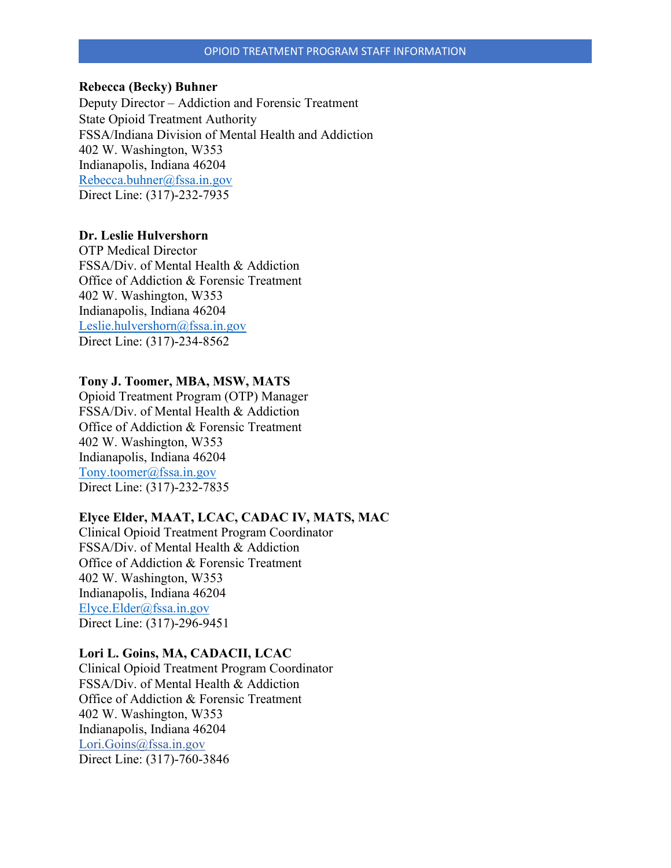### **Rebecca (Becky) Buhner**

Deputy Director – Addiction and Forensic Treatment State Opioid Treatment Authority FSSA/Indiana Division of Mental Health and Addiction 402 W. Washington, W353 Indianapolis, Indiana 46204 [Rebecca.buhner@fssa.in.gov](mailto:Rebecca.buhner@fssa.in.gov) Direct Line: (317)-232-7935

### **Dr. Leslie Hulvershorn**

OTP Medical Director FSSA/Div. of Mental Health & Addiction Office of Addiction & Forensic Treatment 402 W. Washington, W353 Indianapolis, Indiana 46204 [Leslie.hulvershorn@fssa.in.gov](mailto:Leslie.hulvershorn@fssa.in.gov) Direct Line: (317)-234-8562

### **Tony J. Toomer, MBA, MSW, MATS**

Opioid Treatment Program (OTP) Manager FSSA/Div. of Mental Health & Addiction Office of Addiction & Forensic Treatment 402 W. Washington, W353 Indianapolis, Indiana 46204 [Tony.toomer@fssa.in.gov](mailto:Tony.toomer@fssa.in.gov) Direct Line: (317)-232-7835

## **Elyce Elder, MAAT, LCAC, CADAC IV, MATS, MAC**

Clinical Opioid Treatment Program Coordinator FSSA/Div. of Mental Health & Addiction Office of Addiction & Forensic Treatment 402 W. Washington, W353 Indianapolis, Indiana 46204 [Elyce.Elder@fssa.in.gov](mailto:Elyce.Elder@fssa.in.gov) Direct Line: (317)-296-9451

### **Lori L. Goins, MA, CADACII, LCAC**

Clinical Opioid Treatment Program Coordinator FSSA/Div. of Mental Health & Addiction Office of Addiction & Forensic Treatment 402 W. Washington, W353 Indianapolis, Indiana 46204 [Lori.Goins@fssa.in.gov](mailto:Lori.Goins@fssa.in.gov) Direct Line: (317)-760-3846